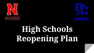



# **High Schools Reopening Plan**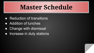# **Master Schedule**

- Reduction of transitions
- Addition of lunches
- Change with dismissal
- Increase in duty stations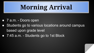# **Morning Arrival**

- 7 a.m. Doors open
- Students go to various locations around campus based upon grade level
- 7:45 a.m. Students go to 1st Block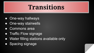## **Transitions**

- **One-way hallways**
- One-way stairwells
- Commons area
- Traffic Flow signage
- Water filling stations available only
- Spacing signage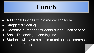# **Lunch**

- Additional lunches within master schedule
- Staggered Seating
- Decrease number of students during lunch service
- Social Distancing in serving line
- Students will have a choice to eat outside, commons area, or cafeteria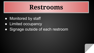#### **Restrooms**

- Monitored by staff
- **Limited occupancy**
- Signage outside of each restroom

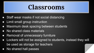#### **Classrooms**

- Staff wear masks if not social distancing
- Limit small group instruction
- Maximum desk spacing between students
- No shared class materials
- Removal of unnecessary furniture
- Lockers will not be assigned to students, instead they will be used as storage for teachers
- No shared hall passes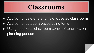#### **Classrooms**

- Addition of cafeteria and fieldhouse as classrooms
- Addition of outdoor spaces using tents
- Using additional classroom space of teachers on planning periods